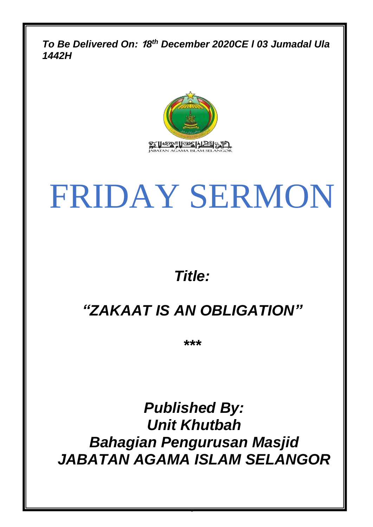*To Be Delivered On:* **1***8 th December 2020CE l 03 Jumadal Ula 1442H*



# FRIDAY SERMON

## *Title:*

## *"ZAKAAT IS AN OBLIGATION"*

*\*\*\**

*Published By: Unit Khutbah Bahagian Pengurusan Masjid JABATAN AGAMA ISLAM SELANGOR*

0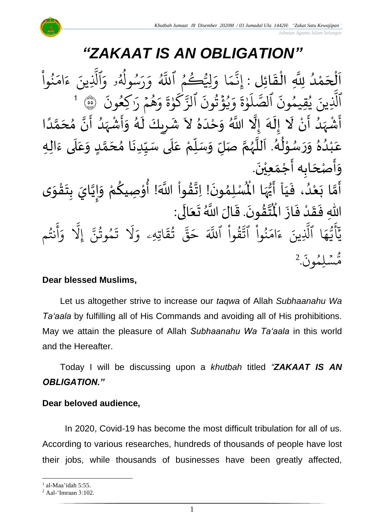## *"ZAKAAT IS AN OBLIGATION"*

 $\overline{\phantom{a}}$ اَلْحَمْدُ لِلَّهِ الْقَائِلِ : إِنَّمَا وَلِيُّكُمْ ٱللَّهُ وَرَسُولُهُۥ وَٱلَّذِ  $\frac{1}{2}$ و<br>ا **ٔ**  $\overline{\phantom{a}}$ ْ  $\frac{1}{2}$ ֦֧֦֧֦֧֦֧֦֧֦֧֦֧֜֜֜֜֓֓<br>**֡** <u>ہ</u> وا ُو ند ِرِ ام ر<br>2 ء ِينَ یہ<br>۱ .<br>م سُولُهُو وَ و<br>مم  $\frac{1}{\sqrt{2}}$ و ِ<br>په ر<br><u>ر</u>  $\frac{1}{\alpha}$ و ِ<br>آھ<br>آھ وَلِيُّكُمُ ٱللَّهُ و و ا و ر<br>م  $\tilde{\lambda}$ ى<br>بە ِن إ  $\ddot{\cdot}$ كِعُونَ و<br>م ِ<br>په هُمُ رَا  $\frac{1}{2}$ و<br>ج  $\frac{1}{\alpha}$ و  $\ddot{\tilde{}}$ ة و ٰ ِ<br>پ  $\mathcal{S}_{\mathcal{A}}$ ِ<br>په ٱلز .<br>^ <sup>و</sup> قَزْنُونَ ر ہ<br>۶ ُو  $\frac{1}{\alpha}$ و ا<br>الم ة و ٰ ر<br>آ  $\mathcal{L}$ ِ<br>سَ الصَّ  $\ddot{\cdot}$ ينَ يُقِيمُونَ و و<br>د ۔<br>آ الَّذِينَ يُقِيمُونَ الصَّلَوٰةَ وَيُؤْتُونَ الزَّكَوٰةَ وَهُمْ رَاكِعُونَ ۚ ۞ 1 ہ<br>آ سَّيِّسَ اللَّهُ وَحَدَهُ لاَ شَرِيكَ لَهُ وَأَشْهَدُ أَنَّ مُحَمَّدًا<br>أَشْهَدُ أَنْ لَا إِلَهَ إِلَّا اللَّهُ وَحْدَهُ لاَ شَرِيكَ لَهُ وَأَشْهَدُ أَنَّ مُحَمَّدًا `<br>م• لا<br>پن  $\frac{1}{2}$  $\frac{1}{2}$ ر<br>ڊ ا<br>م ं<br>न  $\tilde{\cdot}$  $\frac{1}{2}$ ر<br>ا ر<br>زن ر<br>د ֧׆<br>׆ ا<br>م ر<br>د ا<br>آ ِ 7<br>ू<br>\* ر<br>پ ُ<br>ُ م<br>م ر<br>م اس<br>ا ً<br>ا ر<br>آ ๋<br>ጎ ا<br>ما ِ<br>€ِ حَّدَ مِنْ وَلَٰهُ. اَللَّهُمَّ صَلِّ وَسَلِّمْ عَلَى سَيِّدِنَا مُحَمَّدٍ وَعَلَى ءَالِهِ  $\ddot{\cdot}$ َ<br>آ .<br>ح  $\tilde{\cdot}$ <u>لم</u> ِ<br>ما .<br>م  $\ddot{\phantom{0}}$  $\frac{1}{2}$  $\frac{1}{2}$ ۔<br>آ ً<br>م ِّ<br>ا  $\overline{r}$  $\tilde{\cdot}$ لة<br>م و<br>ر<br>ر نج<br>آا َ ءِ<br>ھ  $\ast$ ់<br>^ و<br>م  $\tilde{\cdot}$  $\tilde{\cdot}$  $\frac{2}{\lambda}$ ه ۷<br>م لم ់<br>រ ب .<br>م ع .<br>وَأَصْحَابِه أَجْمَعِيْنَ.  $\overline{\phantom{a}}$ د<br>پن  $\tilde{\phantom{a}}$  $\ddot{\phantom{0}}$ ْ  $\frac{1}{\sqrt{2}}$ ر<br>پنج لْمُبْلِمُونَ! اِتَّقُواْ اللَّهَ! أُوْصِيكُمْ وَإِيَّايَ بِتَقْوَى  $\frac{1}{2}$ ֦֧֦֧֦֧֦֧<u>֦</u>  $\frac{1}{2}$ **ر**<br>: ا<br>ا  $\frac{1}{2}$  $\tilde{\cdot}$ <u>و</u> ֦֧֦֧֦ **ہ**<br>: ֦֧֦֧֦  $\frac{9}{4}$ الة  $\ddot{\phantom{0}}$ ›<br>ለ أَمَّا بَعْدُ، فَيَاۤ أَيُّهَا الْمُ م<br>ما ُ<br>وُلا<br>•  $\frac{1}{2}$ َ  $\frac{1}{2}$ و<br>ا ْ َ<br>ِمَ ر<br>آن ر<br>پنج  $\frac{1}{2}$ از ف د ق ِهللا ف ى: ال ع ت الَ َّللا <sup>ا</sup> ُ .ق ون ق ت  $\ddot{\cdot}$ ْ  $\frac{1}{2}$ -<br>∶• لا<br>آ  $\overline{\phantom{a}}$ ئے<br>ج ا<br>نا  $\ddot{\cdot}$ ا<br>من سم<br>الديد ِّ<br>مُ الما م و<br>په نت ِ<br>ج أ ر<br>م و ىد<br>1 َِل إ ِ<br>پ مُوتَنَّ ور و  $\ddot{\cdot}$ نَّذ<br>ت ر<br>1 َل  $\frac{1}{2}$ اتِهِۦ و  $\ddot{\Omega}$ ؞ؘٛؿۧ ور ِ<br>په قی  $\overline{\phantom{a}}$ ح ہ<br>آک قَوا اللَّهَ ا<br>ا ور ِ<br>په نُوا اڌّ ا<br>ا ُو<br>و  $\frac{1}{2}$ ام  $\tilde{\cdot}$ ء ِينَ ِ<br>آ ا الَّذِ  $\frac{1}{4}$ ه و<br>د سَ<br>ڊ ۔<br>ع  $\overline{\phantom{a}}$ ِ<br>ِرِ د  $\ddot{\cdot}$ ون و لِم  $\ddot{\phantom{0}}$ س و<br>مم مُّسَٰلِمُونَ. 2

#### **Dear blessed Muslims,**

Let us altogether strive to increase our *taqwa* of Allah *Subhaanahu Wa Ta'aala* by fulfilling all of His Commands and avoiding all of His prohibitions. May we attain the pleasure of Allah *Subhaanahu Wa Ta'aala* in this world and the Hereafter.

Today I will be discussing upon a *khutbah* titled *"ZAKAAT IS AN OBLIGATION."*

#### **Dear beloved audience,**

In 2020, Covid-19 has become the most difficult tribulation for all of us. According to various researches, hundreds of thousands of people have lost their jobs, while thousands of businesses have been greatly affected,

<sup>&</sup>lt;sup>1</sup> al-Maa'idah 5:55.

<sup>2</sup> Aal-'Imraan 3:102.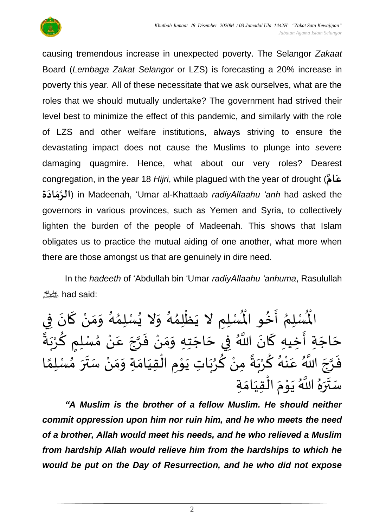

causing tremendous increase in unexpected poverty. The Selangor *Zakaat* Board (*Lembaga Zakat Selangor* or LZS) is forecasting a 20% increase in poverty this year. All of these necessitate that we ask ourselves, what are the roles that we should mutually undertake? The government had strived their level best to minimize the effect of this pandemic, and similarly with the role of LZS and other welfare institutions, always striving to ensure the devastating impact does not cause the Muslims to plunge into severe damaging quagmire. Hence, what about our very roles? Dearest congregation, in the year 18 *Hijri*, while plagued with the year of drought ( **ٌ ام ع َ الر اد ة م** ( in Madeenah, 'Umar al-Khattaab *radiyAllaahu 'anh* had asked the **َ َ** governors in various provinces, such as Yemen and Syria, to collectively lighten the burden of the people of Madeenah. This shows that Islam obligates us to practice the mutual aiding of one another, what more when there are those amongst us that are genuinely in dire need.

In the *hadeeth* of 'Abdullah bin 'Umar *radiyAllaahu 'anhuma*, Rasulullah صلى الله عليه وسلمhad said:

ِ<br>نُّسْلِمِ لا يَظْلِمُهُ وَلا يُسْلِمُهُ وَمَنْ كَانَ فِي  $\ddot{\phantom{0}}$ ์<br>-<br>-ْ  $\frac{1}{2}$  $\tilde{\cdot}$ ر<br>گ ›<br>ጎ **ٍ**  $\tilde{\cdot}$ و<br>گ ๋<br>ጎ ֦֧֦֧֦֧֦֧֦֧֦֧֦֧֧֦֧֝֝֝֟֓֓֓֜֜֓֓<br>**֧**  $\ddot{\phantom{0}}$ لْمُسْلِمُ أَخُو الْمُ **ٍ**  $\frac{1}{2}$ <sub>ይ</sub> الْم ً **ا∗**<br>\* ِ مُسْتِمِ الْحَرِ الْمُسْتِرِ - يَسْتِمْ رَبِّ يَسْتِمْهُ رَبْسَ الْمَنْ عَنْ مُسْلِمٍ كُرْبَةً }<br>حَاجَةٍ أَخِيهِ كَانَ اللَّهُ فِي حَاجَتِهِ وَمَنْ فَرَّجَ عَنْ مُسْلِمٍ كُرْبَةً َے<br>بہ ْ نہ<br>عر ے<br>م ْ .<br>م ्<br>न ا<br>تار  $\frac{1}{2}$ ؙ<br>؞  $\frac{1}{2}$  $\frac{1}{2}$ :<br>-<br>- $\overline{\phantom{a}}$ 7<br>-<br>◆ ์<br>-<br>-لم<br>ج  $\ddot{\phantom{0}}$  $\overline{\phantom{a}}$ را<br>م ِّتِ سِّيِّةٍ ۖ عَنْ اللَّهُ عَنْهُ كُرْبَهَ مِنْ كُرُبَاتٍ يَوْمِ الْقِيَامَةِ وَمَنْ سَتَرَ مُسْلِمًا<br>فَرَّجَ اللَّهُ عَنْهُ كُرْبَةً مِنْ كُرُبَاتِ يَوْمِ الْقِيَامَةِ وَمَنْ سَتَرَ مُسْلِمًا  $\frac{1}{2}$ ں<br>. بة<br>أ ْ ْ ْ  $\frac{1}{2}$  $\frac{1}{2}$  $\frac{1}{2}$  $\frac{1}{1}$ )<br>ا ।<br>∕ ْ ر<br>م  $\ddot{\phantom{0}}$ و<br>و )<br>و ំ<br>• ً<br>أ∙ّ ً<br>بہ .<br>، ــو<br>مخ .<br>و ៎<br>៖ .<br>م ्<br>। انہ<br>م ا<br>-<br>-نه<br>م ِ<br>ِم ل ِة ام ِقي ال م و ي َّللا ا ُ ه ر سَ  $\frac{1}{2}$ ُ<br>ِمَ ا<br>أ  $\frac{1}{2}$ ់<br>្  $\frac{1}{2}$ ُّ ِ َ  $\ddot{\phantom{0}}$ بة<br>أ

*"A Muslim is the brother of a fellow Muslim. He should neither commit oppression upon him nor ruin him, and he who meets the need of a brother, Allah would meet his needs, and he who relieved a Muslim from hardship Allah would relieve him from the hardships to which he would be put on the Day of Resurrection, and he who did not expose*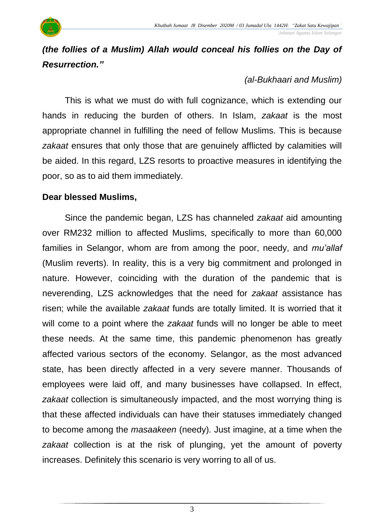#### *Jabatan Agama Islam Selangor*

### *(the follies of a Muslim) Allah would conceal his follies on the Day of Resurrection."*

#### *(al-Bukhaari and Muslim)*

This is what we must do with full cognizance, which is extending our hands in reducing the burden of others. In Islam, *zakaat* is the most appropriate channel in fulfilling the need of fellow Muslims. This is because *zakaat* ensures that only those that are genuinely afflicted by calamities will be aided. In this regard, LZS resorts to proactive measures in identifying the poor, so as to aid them immediately.

#### **Dear blessed Muslims,**

Since the pandemic began, LZS has channeled *zakaat* aid amounting over RM232 million to affected Muslims, specifically to more than 60,000 families in Selangor, whom are from among the poor, needy, and *mu'allaf* (Muslim reverts). In reality, this is a very big commitment and prolonged in nature. However, coinciding with the duration of the pandemic that is neverending, LZS acknowledges that the need for *zakaat* assistance has risen; while the available *zakaat* funds are totally limited. It is worried that it will come to a point where the *zakaat* funds will no longer be able to meet these needs. At the same time, this pandemic phenomenon has greatly affected various sectors of the economy. Selangor, as the most advanced state, has been directly affected in a very severe manner. Thousands of employees were laid off, and many businesses have collapsed. In effect, *zakaat* collection is simultaneously impacted, and the most worrying thing is that these affected individuals can have their statuses immediately changed to become among the *masaakeen* (needy). Just imagine, at a time when the *zakaat* collection is at the risk of plunging, yet the amount of poverty increases. Definitely this scenario is very worring to all of us.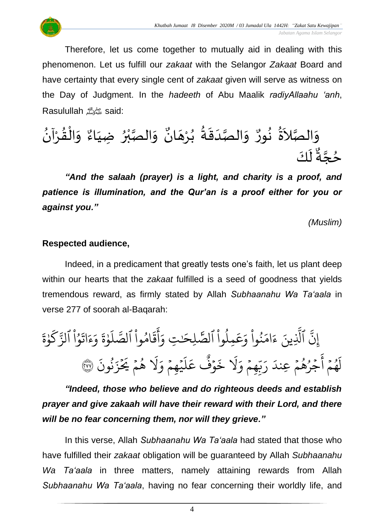Therefore, let us come together to mutually aid in dealing with this phenomenon. Let us fulfill our *zakaat* with the Selangor *Zakaat* Board and have certainty that every single cent of *zakaat* given will serve as witness on the Day of Judgment. In the *hadeeth* of Abu Maalik *radiyAllaahu 'anh*, Rasulullahصلى الله عليه وسلمsaid:

 $\overline{\phantom{a}}$ وَالصَّدَقَةُ بُرْهَ ْ ُ<br>پ ُ<br>مُ•  $\frac{1}{2}$  $\frac{1}{1}$ ا<br>بر<br>ر  $\frac{1}{2}$ و<br>ا وَالصَّلاَةُ نُورٌ وَالصَّدَقَةُ بُرْهَانٌ وَالصَّبْرُ ضِيَاءٌ وَالْقُرْآنُ <sup>∂</sup> و<br>پيد  $\tilde{\zeta}$ ا<br>تە  $\frac{1}{2}$ ُ<br><sup>♦</sup> ْ  $\frac{9}{4}$ ֦֧֦֧֦֧֝<u>֦</u>  $\frac{1}{2}$  $\frac{9}{2}$ وَالصَّبْرُ ضِيَاءٌ  $\frac{1}{1}$ ُ<br>ٌ∙ ْ اتا<br>در  $\ddot{\ }$ و<br>م• ان كَ ل َ ر<br>پہ مُحِّبةٌ ة<br>م و<br>•

*"And the salaah (prayer) is a light, and charity is a proof, and patience is illumination, and the Qur'an is a proof either for you or against you."*

*(Muslim)*

#### **Respected audience,**

Indeed, in a predicament that greatly tests one's faith, let us plant deep within our hearts that the *zakaat* fulfilled is a seed of goodness that yields tremendous reward, as firmly stated by Allah *Subhaanahu Wa Ta'aala* in verse 277 of soorah al-Baqarah:

 $\frac{1}{2}$ ام  $\tilde{\epsilon}$ ء ِينَ ِ<br>آ ٱَّل ِ<br>په ِن إ  $\ddot{\mathbf{r}}$ ة و ١, ر<br>سم  $\mathsf{S}_{\cdot}$ ب<br>ج وُا الزَّ ْ ا و<br>م  $\ddot{\cdot}$ ات  $\tilde{\epsilon}$ ء ر<br>ہ و  $\ddot{\mathbf{z}}$ ة و ۱, ر<br>آ  $\uplambda$ ىر<br>مە ٱلص وا ام **ٔ** و<br>م  $\ddot{\tilde{}}$ ق ِ<br>ج أ  $\frac{1}{\alpha}$ ِ<br>صَلِحَـٰتِ وَ ٰ حِلوا الصَّ ْ مُ و<br>ا ِ<br>م ع  $\frac{1}{c}$ نُوا وَ ْ مُ ُو<br>و  $\ddot{\cdot}$ نُونَ ُو  $\ddot{\cdot}$ ز  $\frac{1}{2}$ ِ هُمْ يَحُ  $\frac{1}{2}$ و<br>ج ر<br>1 َل  $\frac{1}{\alpha}$ ي<u>ُه</u>مُ وَ  $\frac{1}{2}$ ؚ<br>ۣ ر<br>آ  $\mathcal{L}$ ِ<br>م ع وٌفٌ  $\ddot{\cdot}$ خ ر<br>1 َل  $\frac{1}{2}$ مجمَّ وَ  $\frac{1}{2}$ ں<br>د ب<br>ب ِ<br>پ ر َ جَرُهُمْ عِندَ  $\frac{1}{2}$ و<br>پو ُو  $\frac{1}{2}$ ِ<br>ج أ  $\frac{1}{2}$ و ۔<br>په ر<br>م .<br>أ لَهُمْ أَجْرُهُمْ عِندَ رَبِّهِمْ وَلَا خَوْفٌ عَلَيْهِمْ وَلَا هُمْ يُحْزَنُونَ ۞

*"Indeed, those who believe and do righteous deeds and establish prayer and give zakaah will have their reward with their Lord, and there will be no fear concerning them, nor will they grieve."*

In this verse, Allah *Subhaanahu Wa Ta'aala* had stated that those who have fulfilled their *zakaat* obligation will be guaranteed by Allah *Subhaanahu Wa Ta'aala* in three matters, namely attaining rewards from Allah *Subhaanahu Wa Ta'aala*, having no fear concerning their worldly life, and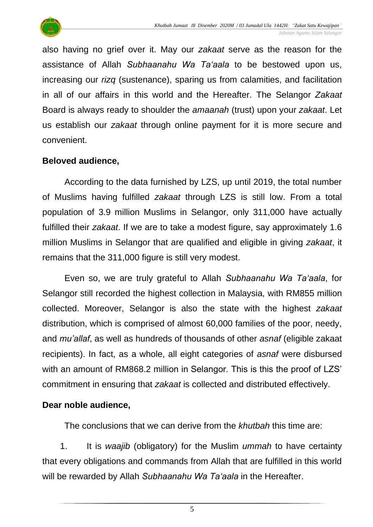

also having no grief over it. May our *zakaat* serve as the reason for the assistance of Allah *Subhaanahu Wa Ta'aala* to be bestowed upon us, increasing our *rizq* (sustenance), sparing us from calamities, and facilitation in all of our affairs in this world and the Hereafter. The Selangor *Zakaat* Board is always ready to shoulder the *amaanah* (trust) upon your *zakaat*. Let us establish our *zakaat* through online payment for it is more secure and convenient.

#### **Beloved audience,**

According to the data furnished by LZS, up until 2019, the total number of Muslims having fulfilled *zakaat* through LZS is still low. From a total population of 3.9 million Muslims in Selangor, only 311,000 have actually fulfilled their *zakaat*. If we are to take a modest figure, say approximately 1.6 million Muslims in Selangor that are qualified and eligible in giving *zakaat*, it remains that the 311,000 figure is still very modest.

Even so, we are truly grateful to Allah *Subhaanahu Wa Ta'aala*, for Selangor still recorded the highest collection in Malaysia, with RM855 million collected. Moreover, Selangor is also the state with the highest *zakaat* distribution, which is comprised of almost 60,000 families of the poor, needy, and *mu'allaf*, as well as hundreds of thousands of other *asnaf* (eligible zakaat recipients). In fact, as a whole, all eight categories of *asnaf* were disbursed with an amount of RM868.2 million in Selangor. This is this the proof of LZS' commitment in ensuring that *zakaat* is collected and distributed effectively.

#### **Dear noble audience,**

The conclusions that we can derive from the *khutbah* this time are:

1. It is *waajib* (obligatory) for the Muslim *ummah* to have certainty that every obligations and commands from Allah that are fulfilled in this world will be rewarded by Allah *Subhaanahu Wa Ta'aala* in the Hereafter.

5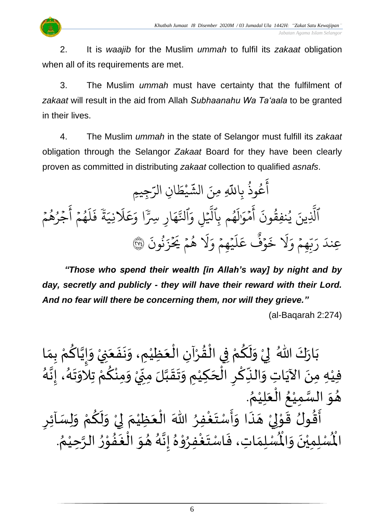2. It is *waajib* for the Muslim *ummah* to fulfil its *zakaat* obligation when all of its requirements are met.

3. The Muslim *ummah* must have certainty that the fulfilment of *zakaat* will result in the aid from Allah *Subhaanahu Wa Ta'aala* to be granted in their lives.

4. The Muslim *ummah* in the state of Selangor must fulfill its *zakaat* obligation through the Selangor *Zakaat* Board for they have been clearly proven as committed in distributing *zakaat* collection to qualified *asnafs*.

ِجِيمِ ِ<br>س ِن الر ا  $\tilde{\cdot}$ يْطَ **ٔ** ِ<br>په عُوذُ بِاللَّهِ مِنَ الشَّ ُ و<br>م ِ<br>ج أ ֧֓֟֓֓֓׆<br>ֺ֧֧֝֝<del>֟</del>ׇ֧ ة ِ نِي ر<br>آ  $\lambda$ ِ<br>م ع  $\frac{1}{\alpha}$ ارِ سِرَّا وَ<sub>َ</sub> ر<br>م ه ىد<br>م الذَّ ِ<br>م ِ و ل  $\frac{1}{2}$ یہ<br>1 ھُم بِالْدُ و<br>م ر<br>دا ل ֖֧֖֧֚֚֬֝֟֟֩<u>֓</u>֖֪֧֓֟֟֓ مَوَّا  $\frac{1}{2}$ ا<br>ع أ  $\ddot{\cdot}$ ون نفِق ي ِينَ ر ُو ِ<br>آ الَّذِينَ يُنْفِقُونَ آَمُوَالَهُمْ بِالَّيْلِ وَالنَّهَارِ سِرًّا وَعَلَّانِيَةً فَلَهُمْ آَجَرُهُمْ  $\frac{1}{2}$ و<br>ج ُو  $\frac{1}{2}$ ِ<br>ع أ  $\frac{1}{2}$ و ۔<br>پهم و<br>م ر<br>آ  $\mathcal{L}$  $\ddot{\cdot}$ ف  $\ddot{\cdot}$ نونَ ُو<br>په  $\ddot{\cdot}$ ز  $\frac{1}{2}$  $\tilde{z}$ هُمْ يَحُ  $\frac{1}{2}$ و<br>ج ر<br>1 َل  $\frac{1}{c}$ يثقةً وَ  $\frac{1}{2}$  $\ddot{\phantom{0}}$ ر<br>آ  $\uplambda$ ِ<br>م ع وٌڤ<br>وڤ  $\ddot{\cdot}$ خ ر<br>1 َل  $\frac{1}{c}$ و ِِهم  $\frac{1}{2}$ ر<br>د ب<br>ب ِ<br>ا عِندَ رَبِّهِمْ وَلَا خَوْفٌ عَلَيْهِمْ وَلَا هُمْ يَحْزَنُونَ ۞

*"Those who spend their wealth [in Allah's way] by night and by day, secretly and publicly - they will have their reward with their Lord. And no fear will there be concerning them, nor will they grieve."*

(al-Baqarah 2:274)

ْ بَارَكَ اللّهُ ۖ لِيْ وَلَكُمْ فِي الْقُرْآنِ الْعَظِيْمِ، وَنَفَعَنِيْ وَإِيَّاكُمْ بِمَا  $\overline{\phantom{a}}$  $\ddot{\cdot}$  $\ddot{\phantom{0}}$  $\tilde{\cdot}$ ْ َ ْ ْ  $\frac{9}{4}$ ֦֧֦֧֦֧֦֧֦֧֦֧֦֧֜֜֜֜֓֓<br>**֡** ْ <u>ہ</u>  $\tilde{\mathbf{r}}$  $\frac{1}{2}$ ْ  $\frac{1}{2}$  $\ddot{\ }$  $\frac{1}{\lambda}$ ْ <u>ہ</u> ن<br>•<br>•  $\frac{1}{2}$  $\tilde{\cdot}$ —<br>}<br>] .<br>فِيْهِ مِنَ الآيَاتِ وَالنِّكْرِ الْحَكِيْمِ وَتَقَبَّلَ مِنِّيْ وَمِنْكُمْ تِلاَوَتَهُ، إِنَّهُ ا<br>تار<br>.  $\frac{1}{2}$ —<br>}<br>1  $\ddot{\phantom{0}}$ ۰<br>ام ្ត្ ر<br>م ْ ∕<br>^ ْ ְ<br>ֳ<br>∙  $\sum$ ا<br>م  $\frac{1}{2}$  $\ddot{\phantom{0}}$ ا<br>ا ំ<br>រ  $\overline{\phantom{a}}$ ْ <u>ر</u> ا<br>م ِ<br>پہ  $\frac{1}{2}$ ِ<br>پُ  $\frac{1}{2}$ ِّ<br>ُ هُوَ السَّمِيْعُ الْعَلِيْمُ. سا<br>دا  $\frac{1}{2}$  $\frac{1}{2}$ ٍ<br>∕\* `<br>' َ ا<br>أ .<br>و ْ <u>،</u>  $\tilde{\mathbf{r}}$ ْ ْ  $\frac{1}{2}$ ֝׀<br>֧֪֪֪֪֪֪֪֪֪֦֪֦֧֧֩֩֓֩֓֟֓֓֞֓֟֓֟֟֟֩֓֟֟֟֟֓֟֓֟֟֩֩֓֩֟֓֩֩֓֟֓֞֓֩֕֟֓֟֓֟֓֟֓֟֓֟֓֩֓֩֓֟֟֟ र<br>::  $\frac{9}{2}$ ا<br>بہ

<u>ر</u> حَسِبِينِ عَسَيْدٍ.<br>أَقُولُ قَوْلِيْ هَذَا وَأَسْتَغْفِرُ اللّهَ الْعَظِيْمَ لِيْ وَلَكُمْ وَلِسَائِرِ  $\tilde{\cdot}$ ْ  $\frac{1}{2}$ ْ إ  $\frac{1}{2}$ ំ<br>រ َ ∫<br>∕  $\ddot{\ }$  $\frac{1}{2}$ ::<br>-<br>▲ ْ لمح ់<br>្ . ُ وي هذا واستعفِر الله العَظِيم في ولكم ويُسْمَر<br>لَّمُسْلِمَاتِ، فَاسْتَغْفِرُوْهُ إِنَّهُ هُوَ الْغَفُوْرُ الرَّحِيْمُ ر<br>د ا<br>تار ۔<br>ڊ י<br>י ِ<br>په  $\geq$ ا<br>ڈ ์ $\overline{\phantom{a}}$  $\frac{1}{2}$ ्<br>दे ا<br>تا<br>•  $\frac{1}{2}$  $^2$ ֦֧֦֦֝ **ہ**<br>د ا<br>ابراہ<br>ا  $\ddot{\ }$  $\frac{1}{2}$  $\frac{1}{2}$ اقون قو<br>لْمُسْلِمِيْنَ وَالْمُ  $\frac{1}{2}$ ا<br>. ا<br>ا الْم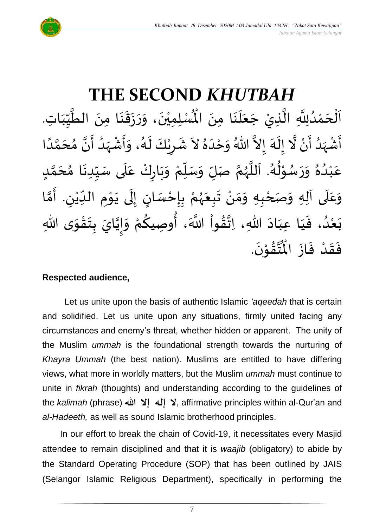

#### **THE SECOND** *KHUTBAH* ِم ا ن ل ع ج ِذيْ ِ ال ِّلِل د م ح ل ِت ا ا ب ي الط ِمن ا ن ق ز ر ، و ن ِ ِمي ل سْ ُْ .<br>∙<br>◆ ے<br>آ َ  $\ddot{\phantom{0}}$ ا<br>تار<br>1 اتا<br>ا و<br>ا ់<br><  $\overline{\phantom{a}}$ ْ  $\overline{\phantom{a}}$ َ  $\frac{1}{2}$ ِّس ا<br>ا  $\ddot{\phantom{0}}$ َ  $\ddot{\phantom{0}}$  $\frac{1}{2}$  $\frac{1}{2}$  $\frac{1}{2}$ ्<br>◆<br>◆ ْ نَ الْمُسْلِمِيْنَ، وَرَزَقَنَا مِنَ الطَّيِّبَاتِ.  $\ddot{\phantom{0}}$ ا<br>ا أَشْهَدُ أَنْ لَّا إِلَهَ إِلاَّ اللّهُ وَحْدَهُ لاَ شَرِيْكَ لَهُ، وَأَشْهَدُ أَنَّ مُحَمَّدًا ំ<br>•  $\tilde{\mathbf{z}}$ و<br>ا ا<br>ر<br>ر ْ  $\tilde{\mathbf{z}}$ و<br>گ اتا ં<br>ત  $\tilde{\cdot}$  $\frac{1}{2}$  $\lambda$  $\frac{1}{2}$ َ<br>ا  $\tilde{\cdot}$ ً<br>أ ن<br>م َ  $\frac{1}{2}$ ن<br>• ا<br>ج ا<br>ا  $\frac{1}{2}$ ْ  $\frac{1}{2}$  $\frac{1}{2}$ و<br>گ  $\tilde{\mathbf{r}}$ ْ <u>ر</u>  $\frac{1}{2}$ عَبْدُهُ وَرَسُوْلُهُ. اَللَّهُمَّ صَلِّ وَسَلِّمْ وَبَارِكْ عَلَى سَيِّدِنَا مُحَمَّدٍ <u>لم</u> ل<br>م  $\overline{\phantom{a}}$  $\frac{1}{2}$  $\ddot{\phantom{0}}$ ِّ  $\frac{1}{2}$  $\frac{1}{\sqrt{2}}$  $\frac{1}{2}$ ْ  $\ddot{\phantom{0}}$ ์ $\frac{1}{2}$ ْ ِّ  $\overline{r}$  $\frac{1}{2}$ ن<br>م ر<br>ر<br>ر ا<br>آ  $\ddot{\phantom{0}}$ و<br>گ  $\frac{1}{2}$ י<br>י و<br>ر  $\frac{1}{2}$  $\frac{1}{2}$  $\frac{1}{2}$ .<br>و ْ .<br>م وَعَلَى آلِهِ وَصَحْبِهِ وَمَنْ تَبِعَهُمْ بِإِحْسَانٍ إِلَى يَوْمِ الدِّيْنِ. أَمَّا  $\overline{\mathbf{1}}$ .<br>م  $\tilde{\cdot}$ ْ ن<br>م َ ِ ْ  $\frac{1}{\sqrt{2}}$ **→** י<br>י  $\ddot{\phantom{0}}$  $\ddot{\phantom{0}}$ ل  $\frac{1}{2}$ <u>ز</u> ֦֧֦֧֦֧<u>֦</u> <u>ر</u><br>-ْ ر<br>ر<br>ر  $\frac{1}{2}$  $\ddot{\phantom{0}}$ ْ  $\frac{1}{2}$  $\frac{1}{2}$ -<br>بَعْدُ، فَيَا عِبَادَ اللهِ، اِتَّقُواْ اللَّهَ، أُوصِيكُمْ وَإِيَّايَ بِتَقْوَى اللهِ  $\frac{1}{2}$ ֦֧֦֦֧֝<u>֦</u>  $\ddot{\ }$ **ؚ** ن<br>•  $\frac{1}{2}$  $\frac{1}{2}$ ْ **∕**<br>م ُ<br>وُ ر<br>ا  $\frac{9}{4}$ ا<br>الم<br>:  $\ddot{\phantom{0}}$ َ َ  $\frac{1}{2}$ و<br>و ំ<br>រ  $\ddot{\ }$ .  $\ddot{\phantom{0}}$ تَقَوْنَ ់<br>្  $\frac{9}{4}$ ا<br>استان<br>جو ر<br>مو فَقَدْ فَازَ الْمُ  $\ddot{\cdot}$  $\frac{1}{2}$ ْ  $\frac{1}{2}$  $\frac{1}{2}$

#### **Respected audience,**

Let us unite upon the basis of authentic Islamic *'aqeedah* that is certain and solidified. Let us unite upon any situations, firmly united facing any circumstances and enemy's threat, whether hidden or apparent. The unity of the Muslim *ummah* is the foundational strength towards the nurturing of *Khayra Ummah* (the best nation). Muslims are entitled to have differing views, what more in worldly matters, but the Muslim *ummah* must continue to unite in *fikrah* (thoughts) and understanding according to the guidelines of the *kalimah* (phrase) لا إله إلا الله me kalimah (phrase) affirmative principles within al-Qur'an and *al-Hadeeth,* as well as sound Islamic brotherhood principles.

In our effort to break the chain of Covid-19, it necessitates every Masjid attendee to remain disciplined and that it is *waajib* (obligatory) to abide by the Standard Operating Procedure (SOP) that has been outlined by JAIS (Selangor Islamic Religious Department), specifically in performing the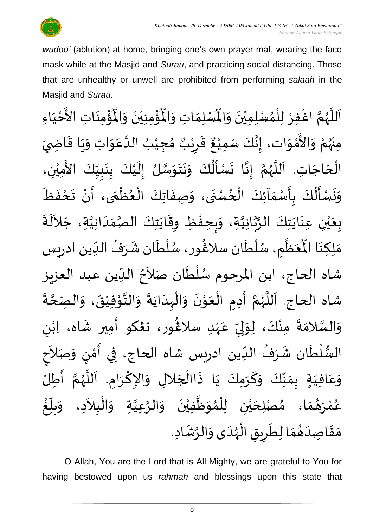

 *Jabatan Agama Islam Selangor*

*wudoo'* (ablution) at home, bringing one's own prayer mat, wearing the face mask while at the Masjid and *Surau*, and practicing social distancing. Those that are unhealthy or unwell are prohibited from performing *salaah* in the Masjid and *Surau*.

ؙۊۢ۠ڡؚڹؘٵتؚ  $\ddot{\phantom{0}}$ ْ<br>با ہ<br>ا ُؤْمِنِيْنَ وَالْمُ  $\tilde{\cdot}$  $\ddot{\phantom{0}}$ ْ <u>់</u> ُْ ِ<br>لْمُسْلِمَاتِ وَالْمُ  $\frac{1}{2}$  $\frac{1}{\sqrt{2}}$ اَللَّهُمَّ اغْفِرْ لِلْمُسْلِمِيْنَ وَالْمُسْلِمَاتِ وَالْمُؤْمِنِيْنَ وَالْمُؤْمِنَاتِ الأَخْيَاءِ  $\frac{1}{2}$  $\ddot{\phantom{0}}$ ់<br>**រ** ,<br>^ ់<br>( ْ ا<br>م ر<br>ر<br>ر ا<br>آ  $\mathbf{r}$  $\frac{1}{1}$ ֦֧֦֧֦֧<u>֦</u> لا<br>ع ំ<br>រ مِنْهُمْ وَالأَمْوَات، إِنَّكَ سَمِيْعٌ قَرِيْبٌ مُجِيْبُ الدَّعَوَاتِ وَيَا قَاضِيَ بو<br>زړ ់<br>•  $\ddot{\ }$ ់<br>ស្ថិ |<br>ع  $\frac{1}{2}$ بر<br>•  $\frac{1}{2}$  $\overline{\phantom{a}}$  $\ddot{\mathbf{r}}$  $\ddot{\phantom{0}}$  $\frac{1}{2}$  $\frac{1}{2}$ .<br>م ا<br>ا ُ ْ )<br>ጎ ه<br>د ا ي ر ق <u>ر</u>  $\frac{1}{2}$ ٌ په موسي<br>سـَمِيـُع ْ الْحَاجَاتِ. اَللَّهُمَّ إِنَّا نَسْأَلُكَ وَنَتَوَسَّلُ إِلَيْكَ بِنَبِيِّكَ الأَمِيْنِ، ْ َ<br>ج  $\frac{1}{1}$  $\frac{1}{2}$  $\frac{1}{2}$  $\ddot{\phantom{0}}$ <u>ر</u><br>: ំ<br>រ  $\tilde{\mathbf{r}}$  $\frac{1}{2}$ ان<br>مر  $\frac{1}{2}$  $\ddot{\phantom{0}}$  $\ddot{\phantom{0}}$  $\frac{1}{2}$  $\frac{1}{\gamma}$ .<br>-<br>- $\ddot{\phantom{0}}$ انا ।<br>∶ ا<br>م و<br>ر ا<br>آ ۔<br>آ  $\overline{\phantom{a}}$ ْ<br>ا  $\overline{\mathbf{r}}$ وَنَسْأَلُكَ بِأَسْمَاَئِكَ الْحُسْنَى، وَصِفَاتِكَ الْعُظْمَى، أَنْ تَحْفَظَ  $\frac{1}{2}$  $\ddot{\phantom{0}}$ ْ  $\ddot{\phantom{0}}$  $\frac{1}{2}$ ֦֧֦֧֦֧֦֧֦֧֦֧֦֧֦֧֧֦֧֦֧֝֝֟֓֓֜֓֓<br>**֧** }<br>● ֦֧֦֧֦֧֦֧֦֧֦֧֦֧֦֧֜֜֜֓֓<br>֧ׅׅ֛֛֝֜֜֜֜֜֜֜֜֜֜֜֜֜֜֝֜֜  $\ddot{\cdot}$  $\tilde{\cdot}$  $\ddot{\phantom{0}}$ و<br>ا ֦֧֦֧֦֧֦֧֦֧֦֧֦֧֦֟֓<br>֧ׅ֝֜֜֜֜֜֜֜֜֜֜֜֜֜֜֜֜֬֟  $\frac{1}{2}$  $\frac{1}{2}$ <u>ر</u> ۔<br>ا  $\frac{1}{2}$  $\ddot{\phantom{0}}$  $\tilde{\cdot}$ ا<br>ا بِعَيْنِ عِنَايَتِكَ الرَّبَّانِيَّةِ، وَبِحِفْظِ وِقَايَتِكَ الصَّمَدَانِيَّةِ، جَلاَلَةَ ا<br>تاب انہ<br>م  $\frac{1}{2}$  $\ddot{\phantom{0}}$ ់<br>( ي َ  $\ddot{\cdot}$ ِ<br>ا  $\sim$ ان<br>ا  $\frac{1}{1}$  $\frac{1}{2}$ ات<br>د د  $\ddot{\phantom{0}}$  $\ddot{\mathbf{r}}$ ֦֧֦֧֦֧<u>֦</u> ِ<br>پ  $\tilde{\cdot}$ ِ<br>عَظَّمِ، سُلْطَان سلاغُور، سُلْطَان شَرَفُ الدِّين ادريس  $\frac{1}{1}$ ُ  $\ddot{\phantom{0}}$  $\ddot{\phantom{0}}$ ់<br>( ُ<br>م }<br>፟**፟** ر<br>م بر<br>أ و<br>ر م<br>الم  $\frac{1}{2}$ َ<br>مو مَلِكِنَا الْمُ َ ์ $\frac{1}{2}$ شاه الحاج، ابن المرحوم سُلْطَان صَلاَحُ الدِّين عبد العزيز ِّ Į ्<br>र ۔<br>ا ا<br>ا ر<br>ر<br>ر ំ<br>រ شاه الحاج. اَللَّهُمَّ أَدِمِ الْعَوْنَ وَالْهِدَايَةَ وَالتَّوْفِيْقَ، وَالصِّحَّةَ י<br>י ان<br>ا  $\frac{1}{2}$  $\ddot{\cdot}$  $\ddot{\phantom{0}}$  $\frac{1}{1}$ ֧֘֝֬֟<br>֧֝֟֟֓֟֓֟֓֟֟֟֟֟֟֜֜  $\frac{1}{2}$  $\ddot{\phantom{0}}$ י<br>י  $\overline{\phantom{a}}$ ا<br>أ ।<br>∕ ें<br>इ ن<br>م و<br>ر<br>ر ۔<br>ا  $\overline{\phantom{a}}$ ا<br>م ة<br>م  $\frac{1}{2}$  $\ddot{\cdot}$ وَالسَّلامَةَ مِنْكَ، لِوَلِيِّ عَهْدِ سلاڠُور، ت**ڠك**و أَمِير شَاه، اِبْنِ ٝ<br>ؙ  $\frac{1}{2}$ ِ<br>پ )<br>፟<br>፟ ٝ<br>ٛ<br>ٛ  $\frac{1}{2}$ ِّ .<br>بر إ  $\frac{1}{2}$ ْ  $\ddot{\cdot}$  $\frac{1}{2}$ ا<br>ما  $\frac{1}{2}$ السُّلْطَان شَرَفُ الدِّين ادريس شاه الحاج، فِي أَمْنٍ وَصَلاَحِ َ<br>ِس ُ  $\frac{1}{2}$  $\ddot{\mathbf{r}}$ ់<br>( ر<br>م  $\frac{1}{2}$ ;<br>;  $\sim$  $\frac{1}{2}$ )<br>إ י<br>י ِ<br>پ -<br>وَعَافِيَةٍ بِمَنَّكَ وَكَرَمِكَ يَا ذَاالْجَلالِ وَالإِكْرَامِ. اَللَّهُمَّ أَطِلُّ ا<br>با ن<br>م ैं<br>,<br>, :<br>تار  $\overline{\phantom{a}}$ ।<br>।<br>। ا<br>د  $\frac{1}{2}$  $\overline{\phantom{a}}$ ֦֧֦֧֦֧֦֧֦֧֦֧֦֧֦֧֜֜֓֓֓<br>**֡**  $\ddot{\cdot}$  $\ddot{\phantom{0}}$ َ  $\frac{1}{2}$ ِ<br>ِ•  $\frac{1}{2}$  $\frac{1}{2}$  $\sum_{i=1}^{n}$ َ .<br>م  $\frac{1}{2}$ عُمْرَ*هُ*مَا، مُصْلِحَيْنِ لِلْمُوَظَّفِيْنَ وَالرَّعِيَّةِ وَالْبِلاَدِ، وَ<sub>ا</sub>  $\frac{1}{2}$  $\frac{1}{2}$  $\frac{1}{2}$ **ٔ** و<br>م <u>់</u> غ بل ِّ  $\frac{1}{2}$  $\tilde{\cdot}$  $\sim$ ֦֧<u>֚</u> ໌ $\tilde{ }$ اتا<br>ا ان<br>ا ์  $\ddot{\phantom{0}}$ ់<br>រ ا<br>الم  $\frac{1}{2}$ ๋<br>^ ់<br>( ់<br>រ ي  $\overline{\phantom{a}}$ مَقَاصِدَهُمَا لِطَرِيقِ الْهُدَى وَالرَّشَادِ. ِ<br>په  $\tilde{\cdot}$  $\frac{1}{1}$ ر<br>ر<br>ر ۔<br>ا  $\ddot{\bm{s}}$ <u>ر</u>  $\ddot{\phantom{0}}$  $\frac{1}{\lambda}$  $\frac{1}{2}$ َ  $\frac{1}{2}$  $\frac{1}{2}$ 

O Allah, You are the Lord that is All Mighty, we are grateful to You for having bestowed upon us *rahmah* and blessings upon this state that